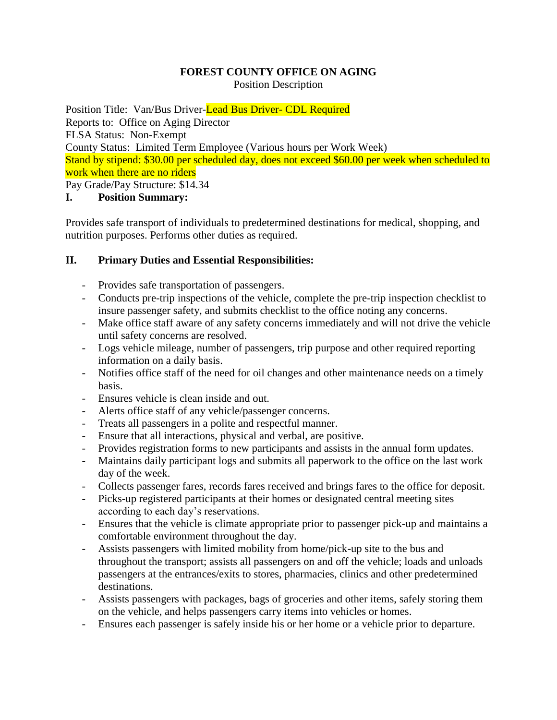#### **FOREST COUNTY OFFICE ON AGING** Position Description

Position Title: Van/Bus Driver-Lead Bus Driver- CDL Required Reports to: Office on Aging Director FLSA Status: Non-Exempt County Status: Limited Term Employee (Various hours per Work Week) Stand by stipend: \$30.00 per scheduled day, does not exceed \$60.00 per week when scheduled to work when there are no riders

Pay Grade/Pay Structure: \$14.34

# **I. Position Summary:**

Provides safe transport of individuals to predetermined destinations for medical, shopping, and nutrition purposes. Performs other duties as required.

# **II. Primary Duties and Essential Responsibilities:**

- Provides safe transportation of passengers.
- Conducts pre-trip inspections of the vehicle, complete the pre-trip inspection checklist to insure passenger safety, and submits checklist to the office noting any concerns.
- Make office staff aware of any safety concerns immediately and will not drive the vehicle until safety concerns are resolved.
- Logs vehicle mileage, number of passengers, trip purpose and other required reporting information on a daily basis.
- Notifies office staff of the need for oil changes and other maintenance needs on a timely basis.
- Ensures vehicle is clean inside and out.
- Alerts office staff of any vehicle/passenger concerns.
- Treats all passengers in a polite and respectful manner.
- Ensure that all interactions, physical and verbal, are positive.
- Provides registration forms to new participants and assists in the annual form updates.
- Maintains daily participant logs and submits all paperwork to the office on the last work day of the week.
- Collects passenger fares, records fares received and brings fares to the office for deposit.
- Picks-up registered participants at their homes or designated central meeting sites according to each day's reservations.
- Ensures that the vehicle is climate appropriate prior to passenger pick-up and maintains a comfortable environment throughout the day.
- Assists passengers with limited mobility from home/pick-up site to the bus and throughout the transport; assists all passengers on and off the vehicle; loads and unloads passengers at the entrances/exits to stores, pharmacies, clinics and other predetermined destinations.
- Assists passengers with packages, bags of groceries and other items, safely storing them on the vehicle, and helps passengers carry items into vehicles or homes.
- Ensures each passenger is safely inside his or her home or a vehicle prior to departure.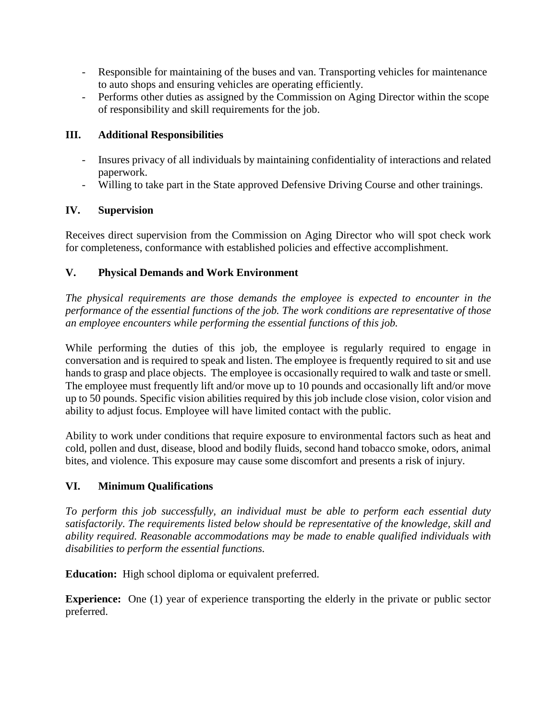- Responsible for maintaining of the buses and van. Transporting vehicles for maintenance to auto shops and ensuring vehicles are operating efficiently.
- Performs other duties as assigned by the Commission on Aging Director within the scope of responsibility and skill requirements for the job.

### **III. Additional Responsibilities**

- Insures privacy of all individuals by maintaining confidentiality of interactions and related paperwork.
- Willing to take part in the State approved Defensive Driving Course and other trainings.

## **IV. Supervision**

Receives direct supervision from the Commission on Aging Director who will spot check work for completeness, conformance with established policies and effective accomplishment.

## **V. Physical Demands and Work Environment**

*The physical requirements are those demands the employee is expected to encounter in the performance of the essential functions of the job. The work conditions are representative of those an employee encounters while performing the essential functions of this job.*

While performing the duties of this job, the employee is regularly required to engage in conversation and is required to speak and listen. The employee is frequently required to sit and use hands to grasp and place objects. The employee is occasionally required to walk and taste or smell. The employee must frequently lift and/or move up to 10 pounds and occasionally lift and/or move up to 50 pounds. Specific vision abilities required by this job include close vision, color vision and ability to adjust focus. Employee will have limited contact with the public.

Ability to work under conditions that require exposure to environmental factors such as heat and cold, pollen and dust, disease, blood and bodily fluids, second hand tobacco smoke, odors, animal bites, and violence. This exposure may cause some discomfort and presents a risk of injury.

#### **VI. Minimum Qualifications**

*To perform this job successfully, an individual must be able to perform each essential duty satisfactorily. The requirements listed below should be representative of the knowledge, skill and ability required. Reasonable accommodations may be made to enable qualified individuals with disabilities to perform the essential functions.*

**Education:** High school diploma or equivalent preferred.

**Experience:** One (1) year of experience transporting the elderly in the private or public sector preferred.